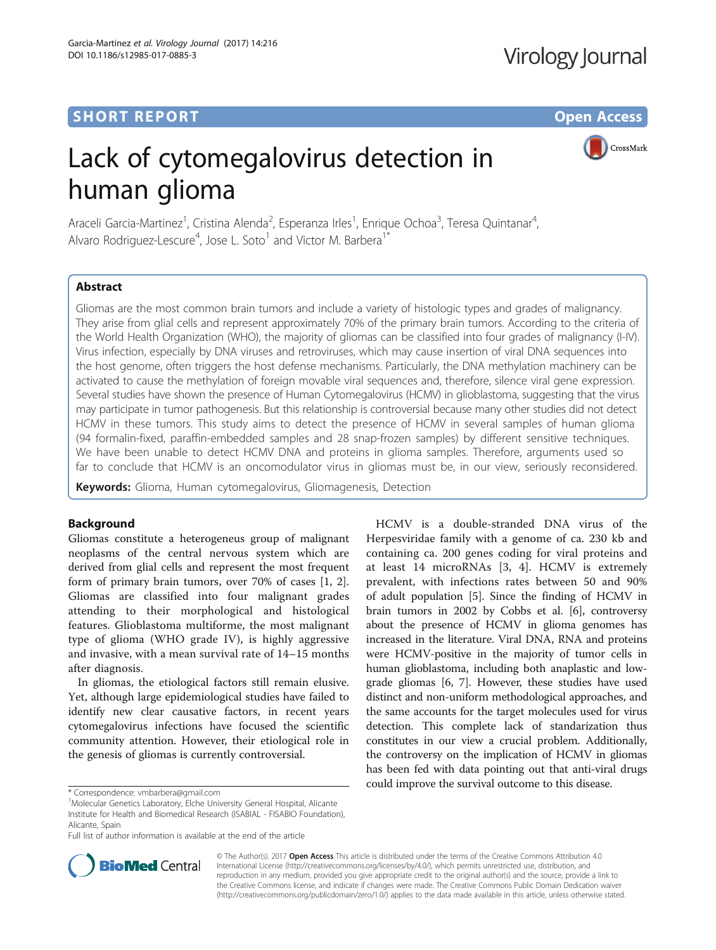# **SHORT REPORT CONTRACT CONTRACT CONTRACT CONTRACT CONTRACT CONTRACT CONTRACT CONTRACT CONTRACT CONTRACT CONTRACT CONTRACT CONTRACT CONTRACT CONTRACT CONTRACT CONTRACT CONTRACT CONTRACT CONTRACT CONTRACT CONTRACT CONTRACT C**

CrossMark

# Lack of cytomegalovirus detection in human glioma

Araceli Garcia-Martinez<sup>1</sup>, Cristina Alenda<sup>2</sup>, Esperanza Irles<sup>1</sup>, Enrique Ochoa<sup>3</sup>, Teresa Quintanar<sup>4</sup> , Alvaro Rodriguez-Lescure<sup>4</sup>, Jose L. Soto<sup>1</sup> and Victor M. Barbera<sup>1\*</sup>

# Abstract

Gliomas are the most common brain tumors and include a variety of histologic types and grades of malignancy. They arise from glial cells and represent approximately 70% of the primary brain tumors. According to the criteria of the World Health Organization (WHO), the majority of gliomas can be classified into four grades of malignancy (I-IV). Virus infection, especially by DNA viruses and retroviruses, which may cause insertion of viral DNA sequences into the host genome, often triggers the host defense mechanisms. Particularly, the DNA methylation machinery can be activated to cause the methylation of foreign movable viral sequences and, therefore, silence viral gene expression. Several studies have shown the presence of Human Cytomegalovirus (HCMV) in glioblastoma, suggesting that the virus may participate in tumor pathogenesis. But this relationship is controversial because many other studies did not detect HCMV in these tumors. This study aims to detect the presence of HCMV in several samples of human glioma (94 formalin-fixed, paraffin-embedded samples and 28 snap-frozen samples) by different sensitive techniques. We have been unable to detect HCMV DNA and proteins in glioma samples. Therefore, arguments used so far to conclude that HCMV is an oncomodulator virus in gliomas must be, in our view, seriously reconsidered.

Keywords: Glioma, Human cytomegalovirus, Gliomagenesis, Detection

# **Background**

Gliomas constitute a heterogeneus group of malignant neoplasms of the central nervous system which are derived from glial cells and represent the most frequent form of primary brain tumors, over 70% of cases [[1](#page-2-0), [2](#page-2-0)]. Gliomas are classified into four malignant grades attending to their morphological and histological features. Glioblastoma multiforme, the most malignant type of glioma (WHO grade IV), is highly aggressive and invasive, with a mean survival rate of 14–15 months after diagnosis.

In gliomas, the etiological factors still remain elusive. Yet, although large epidemiological studies have failed to identify new clear causative factors, in recent years cytomegalovirus infections have focused the scientific community attention. However, their etiological role in the genesis of gliomas is currently controversial.

HCMV is a double-stranded DNA virus of the Herpesviridae family with a genome of ca. 230 kb and containing ca. 200 genes coding for viral proteins and at least 14 microRNAs [\[3](#page-2-0), [4\]](#page-2-0). HCMV is extremely prevalent, with infections rates between 50 and 90% of adult population [\[5\]](#page-2-0). Since the finding of HCMV in brain tumors in 2002 by Cobbs et al. [[6](#page-2-0)], controversy about the presence of HCMV in glioma genomes has increased in the literature. Viral DNA, RNA and proteins were HCMV-positive in the majority of tumor cells in human glioblastoma, including both anaplastic and lowgrade gliomas [\[6](#page-2-0), [7\]](#page-2-0). However, these studies have used distinct and non-uniform methodological approaches, and the same accounts for the target molecules used for virus detection. This complete lack of standarization thus constitutes in our view a crucial problem. Additionally, the controversy on the implication of HCMV in gliomas has been fed with data pointing out that anti-viral drugs could improve the survival outcome to this disease. \* Correspondence: [vmbarbera@gmail.com](mailto:vmbarbera@gmail.com) <sup>1</sup>

Full list of author information is available at the end of the article



© The Author(s). 2017 **Open Access** This article is distributed under the terms of the Creative Commons Attribution 4.0 International License [\(http://creativecommons.org/licenses/by/4.0/](http://creativecommons.org/licenses/by/4.0/)), which permits unrestricted use, distribution, and reproduction in any medium, provided you give appropriate credit to the original author(s) and the source, provide a link to the Creative Commons license, and indicate if changes were made. The Creative Commons Public Domain Dedication waiver [\(http://creativecommons.org/publicdomain/zero/1.0/](http://creativecommons.org/publicdomain/zero/1.0/)) applies to the data made available in this article, unless otherwise stated.

<sup>&</sup>lt;sup>1</sup>Molecular Genetics Laboratory, Elche University General Hospital, Alicante Institute for Health and Biomedical Research (ISABIAL - FISABIO Foundation), Alicante, Spain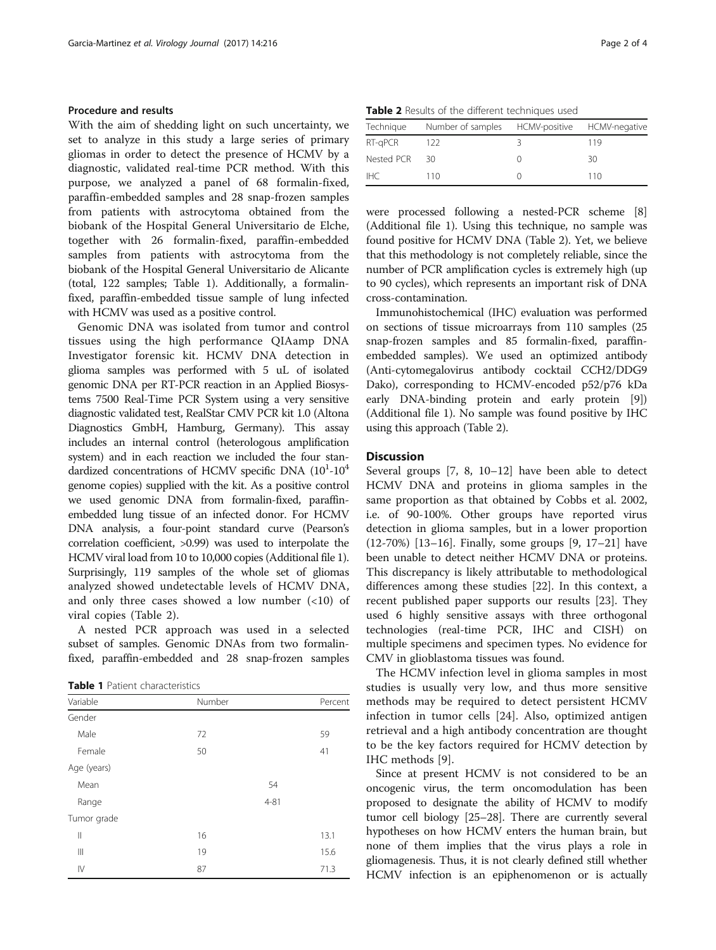# Procedure and results

With the aim of shedding light on such uncertainty, we set to analyze in this study a large series of primary gliomas in order to detect the presence of HCMV by a diagnostic, validated real-time PCR method. With this purpose, we analyzed a panel of 68 formalin-fixed, paraffin-embedded samples and 28 snap-frozen samples from patients with astrocytoma obtained from the biobank of the Hospital General Universitario de Elche, together with 26 formalin-fixed, paraffin-embedded samples from patients with astrocytoma from the biobank of the Hospital General Universitario de Alicante (total, 122 samples; Table 1). Additionally, a formalinfixed, paraffin-embedded tissue sample of lung infected with HCMV was used as a positive control.

Genomic DNA was isolated from tumor and control tissues using the high performance QIAamp DNA Investigator forensic kit. HCMV DNA detection in glioma samples was performed with 5 uL of isolated genomic DNA per RT-PCR reaction in an Applied Biosystems 7500 Real-Time PCR System using a very sensitive diagnostic validated test, RealStar CMV PCR kit 1.0 (Altona Diagnostics GmbH, Hamburg, Germany). This assay includes an internal control (heterologous amplification system) and in each reaction we included the four standardized concentrations of HCMV specific DNA  $(10^{1}$ - $10^{4}$ genome copies) supplied with the kit. As a positive control we used genomic DNA from formalin-fixed, paraffinembedded lung tissue of an infected donor. For HCMV DNA analysis, a four-point standard curve (Pearson's correlation coefficient, >0.99) was used to interpolate the HCMV viral load from 10 to 10,000 copies (Additional file [1](#page-2-0)). Surprisingly, 119 samples of the whole set of gliomas analyzed showed undetectable levels of HCMV DNA, and only three cases showed a low number  $(\langle 10 \rangle)$  of viral copies (Table 2).

A nested PCR approach was used in a selected subset of samples. Genomic DNAs from two formalinfixed, paraffin-embedded and 28 snap-frozen samples

Table 1 Patient characteristics

| Variable      | Number | Percent  |
|---------------|--------|----------|
|               |        |          |
| Gender        |        |          |
| Male          | 72     | 59       |
| Female        | 50     | 41       |
| Age (years)   |        |          |
| Mean          |        | 54       |
| Range         |        | $4 - 81$ |
| Tumor grade   |        |          |
| $\mathbf{  }$ | 16     | 13.1     |
| Ш             | 19     | 15.6     |
| $\mathsf{IV}$ | 87     | 71.3     |

Table 2 Results of the different techniques used

| Technique  | Number of samples HCMV-positive HCMV-negative |  |     |  |
|------------|-----------------------------------------------|--|-----|--|
| RT-gPCR    | 122                                           |  | 119 |  |
| Nested PCR | 30                                            |  | 30  |  |
| IHC.       | 110                                           |  | 110 |  |

were processed following a nested-PCR scheme [[8](#page-2-0)] (Additional file [1](#page-2-0)). Using this technique, no sample was found positive for HCMV DNA (Table 2). Yet, we believe that this methodology is not completely reliable, since the number of PCR amplification cycles is extremely high (up to 90 cycles), which represents an important risk of DNA cross-contamination.

Immunohistochemical (IHC) evaluation was performed on sections of tissue microarrays from 110 samples (25 snap-frozen samples and 85 formalin-fixed, paraffinembedded samples). We used an optimized antibody (Anti-cytomegalovirus antibody cocktail CCH2/DDG9 Dako), corresponding to HCMV-encoded p52/p76 kDa early DNA-binding protein and early protein [[9](#page-2-0)]) (Additional file [1\)](#page-2-0). No sample was found positive by IHC using this approach (Table 2).

#### **Discussion**

Several groups [\[7](#page-2-0), [8](#page-2-0), [10](#page-2-0)–[12\]](#page-2-0) have been able to detect HCMV DNA and proteins in glioma samples in the same proportion as that obtained by Cobbs et al. 2002, i.e. of 90-100%. Other groups have reported virus detection in glioma samples, but in a lower proportion (12-70%) [\[13](#page-2-0)–[16\]](#page-2-0). Finally, some groups [\[9](#page-2-0), [17](#page-2-0)–[21\]](#page-3-0) have been unable to detect neither HCMV DNA or proteins. This discrepancy is likely attributable to methodological differences among these studies [[22\]](#page-3-0). In this context, a recent published paper supports our results [[23](#page-3-0)]. They used 6 highly sensitive assays with three orthogonal technologies (real-time PCR, IHC and CISH) on multiple specimens and specimen types. No evidence for CMV in glioblastoma tissues was found.

The HCMV infection level in glioma samples in most studies is usually very low, and thus more sensitive methods may be required to detect persistent HCMV infection in tumor cells [[24\]](#page-3-0). Also, optimized antigen retrieval and a high antibody concentration are thought to be the key factors required for HCMV detection by IHC methods [\[9](#page-2-0)].

Since at present HCMV is not considered to be an oncogenic virus, the term oncomodulation has been proposed to designate the ability of HCMV to modify tumor cell biology [[25](#page-3-0)–[28\]](#page-3-0). There are currently several hypotheses on how HCMV enters the human brain, but none of them implies that the virus plays a role in gliomagenesis. Thus, it is not clearly defined still whether HCMV infection is an epiphenomenon or is actually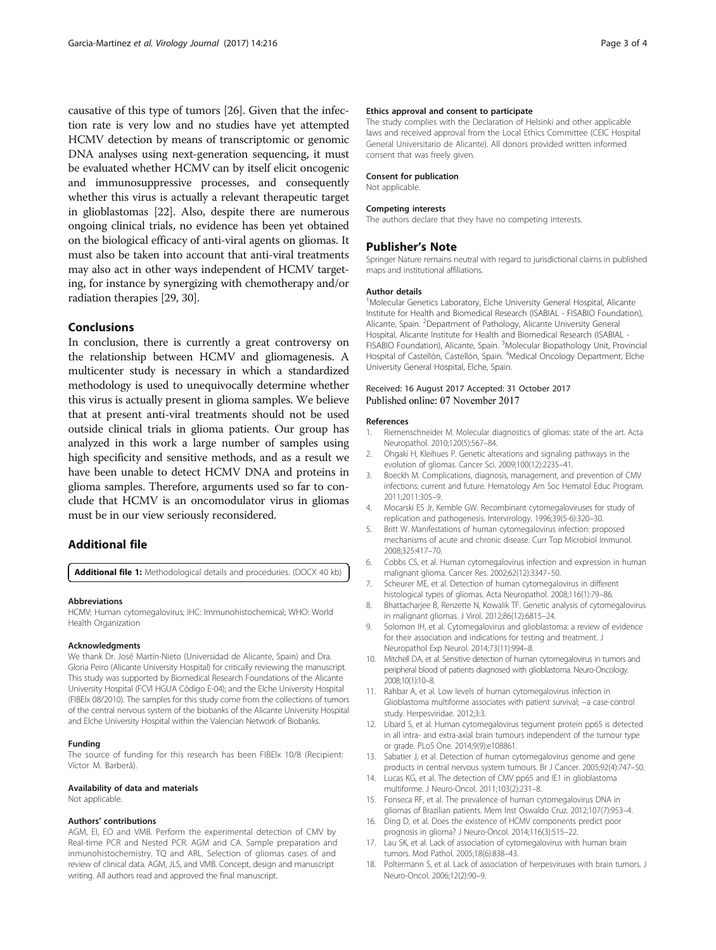<span id="page-2-0"></span>causative of this type of tumors [\[26\]](#page-3-0). Given that the infection rate is very low and no studies have yet attempted HCMV detection by means of transcriptomic or genomic DNA analyses using next-generation sequencing, it must be evaluated whether HCMV can by itself elicit oncogenic and immunosuppressive processes, and consequently whether this virus is actually a relevant therapeutic target in glioblastomas [\[22\]](#page-3-0). Also, despite there are numerous ongoing clinical trials, no evidence has been yet obtained on the biological efficacy of anti-viral agents on gliomas. It must also be taken into account that anti-viral treatments may also act in other ways independent of HCMV targeting, for instance by synergizing with chemotherapy and/or radiation therapies [[29](#page-3-0), [30\]](#page-3-0).

## **Conclusions**

In conclusion, there is currently a great controversy on the relationship between HCMV and gliomagenesis. A multicenter study is necessary in which a standardized methodology is used to unequivocally determine whether this virus is actually present in glioma samples. We believe that at present anti-viral treatments should not be used outside clinical trials in glioma patients. Our group has analyzed in this work a large number of samples using high specificity and sensitive methods, and as a result we have been unable to detect HCMV DNA and proteins in glioma samples. Therefore, arguments used so far to conclude that HCMV is an oncomodulator virus in gliomas must be in our view seriously reconsidered.

# Additional file

[Additional file 1:](dx.doi.org/10.1186/s12985-017-0885-3) Methodological details and proceduries. (DOCX 40 kb)

#### Abbreviations

HCMV: Human cytomegalovirus; IHC: Immunohistochemical; WHO: World Health Organization

## Acknowledgments

We thank Dr. José Martín-Nieto (Universidad de Alicante, Spain) and Dra. Gloria Peiro (Alicante University Hospital) for critically reviewing the manuscript. This study was supported by Biomedical Research Foundations of the Alicante University Hospital (FCVI HGUA Código E-04); and the Elche University Hospital (FIBElx 08/2010). The samples for this study come from the collections of tumors of the central nervous system of the biobanks of the Alicante University Hospital and Elche University Hospital within the Valencian Network of Biobanks.

#### Funding

The source of funding for this research has been FIBElx 10/8 (Recipient: Víctor M. Barberá).

#### Availability of data and materials

Not applicable.

#### Authors' contributions

AGM, EI, EO and VMB. Perform the experimental detection of CMV by Real-time PCR and Nested PCR. AGM and CA. Sample preparation and inmunohistochemistry. TQ and ARL. Selection of gliomas cases of and review of clinical data. AGM, JLS, and VMB. Concept, design and manuscript writing. All authors read and approved the final manuscript.

#### Ethics approval and consent to participate

The study complies with the Declaration of Helsinki and other applicable laws and received approval from the Local Ethics Committee (CEIC Hospital General Universitario de Alicante). All donors provided written informed consent that was freely given.

#### Consent for publication

Not applicable.

#### Competing interests

The authors declare that they have no competing interests.

## Publisher's Note

Springer Nature remains neutral with regard to jurisdictional claims in published maps and institutional affiliations.

#### Author details

<sup>1</sup>Molecular Genetics Laboratory, Elche University General Hospital, Alicante Institute for Health and Biomedical Research (ISABIAL - FISABIO Foundation), Alicante, Spain. <sup>2</sup>Department of Pathology, Alicante University General Hospital, Alicante Institute for Health and Biomedical Research (ISABIAL -FISABIO Foundation), Alicante, Spain. <sup>3</sup>Molecular Biopathology Unit, Provincial Hospital of Castellón, Castellón, Spain. <sup>4</sup>Medical Oncology Department, Elche University General Hospital, Elche, Spain.

#### Received: 16 August 2017 Accepted: 31 October 2017 Published online: 07 November 2017

#### References

- 1. Riemenschneider M. Molecular diagnostics of gliomas: state of the art. Acta Neuropathol. 2010;120(5):567–84.
- 2. Ohgaki H, Kleihues P. Genetic alterations and signaling pathways in the evolution of gliomas. Cancer Sci. 2009;100(12):2235–41.
- 3. Boeckh M. Complications, diagnosis, management, and prevention of CMV infections: current and future. Hematology Am Soc Hematol Educ Program. 2011;2011:305–9.
- 4. Mocarski ES Jr, Kemble GW. Recombinant cytomegaloviruses for study of replication and pathogenesis. Intervirology. 1996;39(5-6):320–30.
- 5. Britt W. Manifestations of human cytomegalovirus infection: proposed mechanisms of acute and chronic disease. Curr Top Microbiol Immunol. 2008;325:417–70.
- 6. Cobbs CS, et al. Human cytomegalovirus infection and expression in human malignant glioma. Cancer Res. 2002;62(12):3347–50.
- 7. Scheurer ME, et al. Detection of human cytomegalovirus in different histological types of gliomas. Acta Neuropathol. 2008;116(1):79–86.
- 8. Bhattacharjee B, Renzette N, Kowalik TF. Genetic analysis of cytomegalovirus in malignant gliomas. J Virol. 2012;86(12):6815–24.
- 9. Solomon IH, et al. Cytomegalovirus and glioblastoma: a review of evidence for their association and indications for testing and treatment. J Neuropathol Exp Neurol. 2014;73(11):994–8.
- 10. Mitchell DA, et al. Sensitive detection of human cytomegalovirus in tumors and peripheral blood of patients diagnosed with glioblastoma. Neuro-Oncology. 2008;10(1):10–8.
- 11. Rahbar A, et al. Low levels of human cytomegalovirus infection in Glioblastoma multiforme associates with patient survival; −a case-control study. Herpesviridae. 2012;3:3.
- 12. Libard S, et al. Human cytomegalovirus tegument protein pp65 is detected in all intra- and extra-axial brain tumours independent of the tumour type or grade. PLoS One. 2014;9(9):e108861.
- 13. Sabatier J, et al. Detection of human cytomegalovirus genome and gene products in central nervous system tumours. Br J Cancer. 2005;92(4):747–50.
- 14. Lucas KG, et al. The detection of CMV pp65 and IE1 in glioblastoma multiforme. J Neuro-Oncol. 2011;103(2):231–8.
- 15. Fonseca RF, et al. The prevalence of human cytomegalovirus DNA in gliomas of Brazilian patients. Mem Inst Oswaldo Cruz. 2012;107(7):953–4.
- 16. Ding D, et al. Does the existence of HCMV components predict poor prognosis in glioma? J Neuro-Oncol. 2014;116(3):515–22.
- 17. Lau SK, et al. Lack of association of cytomegalovirus with human brain tumors. Mod Pathol. 2005;18(6):838–43.
- 18. Poltermann S, et al. Lack of association of herpesviruses with brain tumors. J Neuro-Oncol. 2006;12(2):90–9.